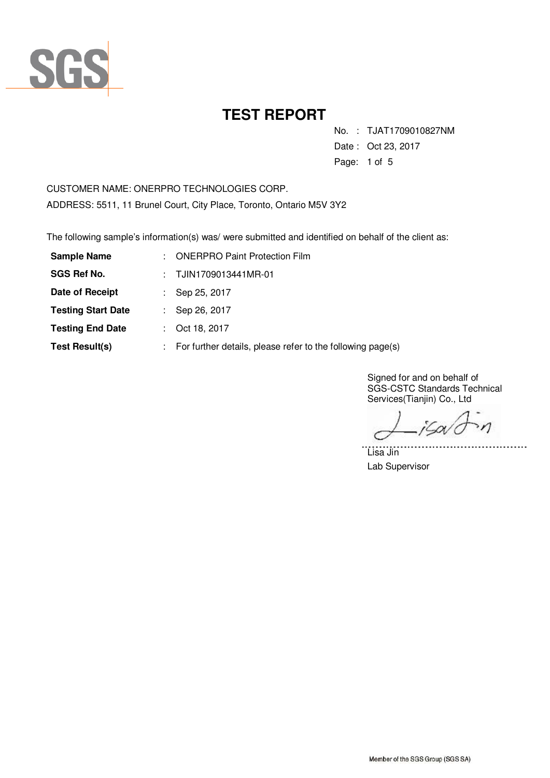

No. : TJAT1709010827NM

Date : Oct 23, 2017

Page: 1 of 5

CUSTOMER NAME: ONERPRO TECHNOLOGIES CORP. ADDRESS: 5511, 11 Brunel Court, City Place, Toronto, Ontario M5V 3Y2

The following sample's information(s) was/ were submitted and identified on behalf of the client as:

| <b>Sample Name</b>        | t.             | <b>ONERPRO Paint Protection Film</b>                       |
|---------------------------|----------------|------------------------------------------------------------|
| <b>SGS Ref No.</b>        | $\mathbb{R}^n$ | TJIN1709013441MR-01                                        |
| Date of Receipt           |                | Sep 25, 2017                                               |
| <b>Testing Start Date</b> |                | Sep 26, 2017                                               |
| <b>Testing End Date</b>   |                | Oct 18, 2017                                               |
| <b>Test Result(s)</b>     |                | For further details, please refer to the following page(s) |

Signed for and on behalf of SGS-CSTC Standards Technical Services(Tianjin) Co., Ltd

 $\eta$ iGov

. . . . . . .

Lisa Jin Lab Supervisor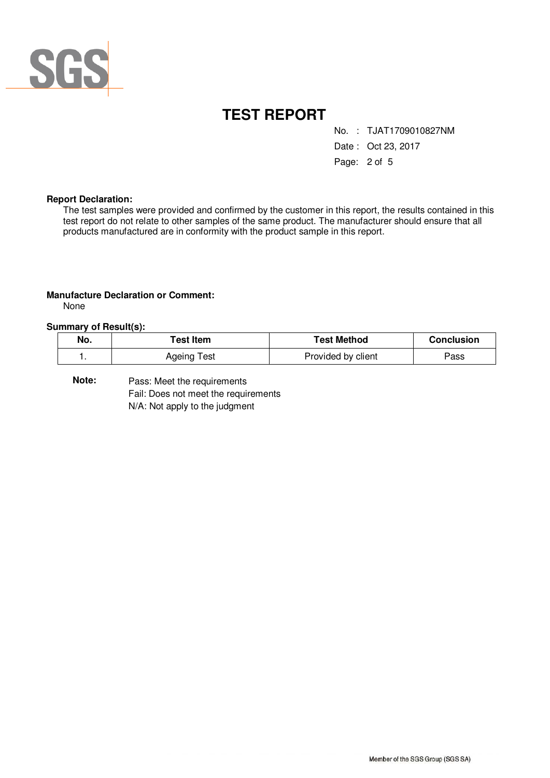

No. : TJAT1709010827NM

Date : Oct 23, 2017

Page: 2 of 5

#### **Report Declaration:**

The test samples were provided and confirmed by the customer in this report, the results contained in this test report do not relate to other samples of the same product. The manufacturer should ensure that all products manufactured are in conformity with the product sample in this report.

#### **Manufacture Declaration or Comment:**

None

#### **Summary of Result(s):**

| No. | ัest Item   | Test Method        | Conclusion |
|-----|-------------|--------------------|------------|
|     | Ageing Test | Provided by client | ∍ass       |

Pass: Meet the requirements Fail: Does not meet the requirements N/A: Not apply to the judgment **Note:**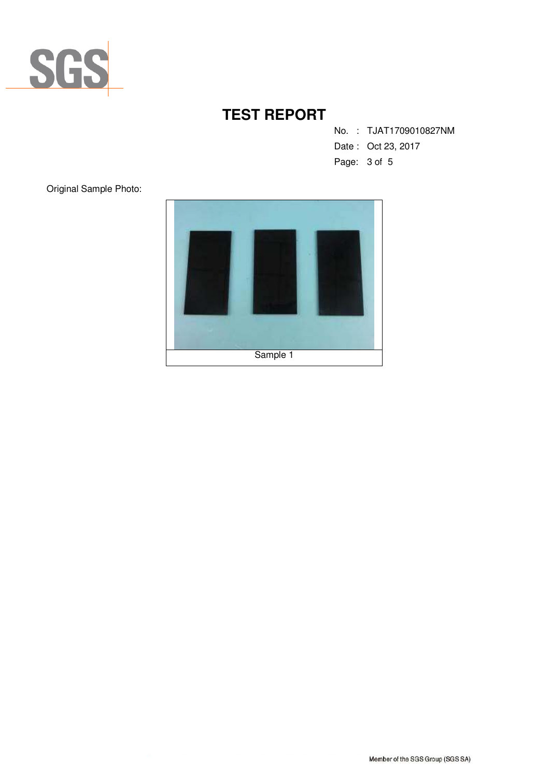

No. : TJAT1709010827NM

Date : Oct 23, 2017

Page: 3 of 5

Original Sample Photo:

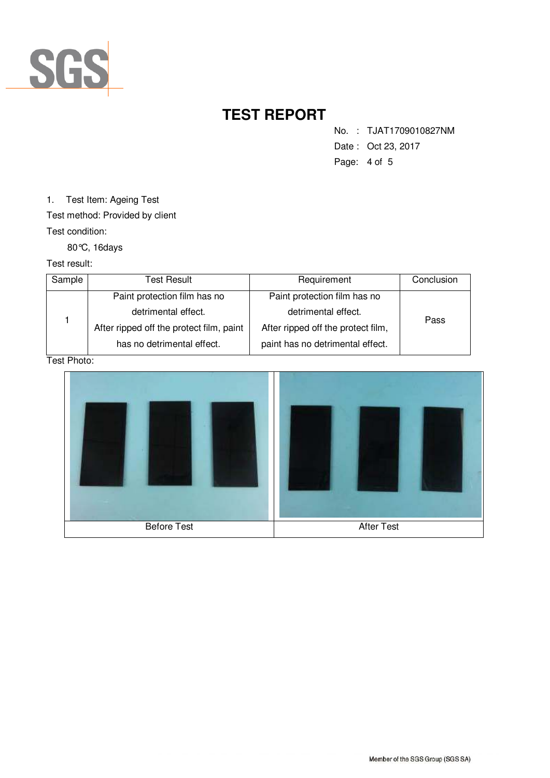

No. : TJAT1709010827NM

- Date : Oct 23, 2017
- Page: 4 of 5

1. Test Item: Ageing Test

Test method: Provided by client

Test condition:

80°C, 16days

Test result:

| Sample | Test Result                              | Requirement                        | Conclusion |  |
|--------|------------------------------------------|------------------------------------|------------|--|
|        | Paint protection film has no             | Paint protection film has no       |            |  |
|        | detrimental effect.                      | detrimental effect.                | Pass       |  |
|        | After ripped off the protect film, paint | After ripped off the protect film, |            |  |
|        | has no detrimental effect.               | paint has no detrimental effect.   |            |  |

Test Photo: